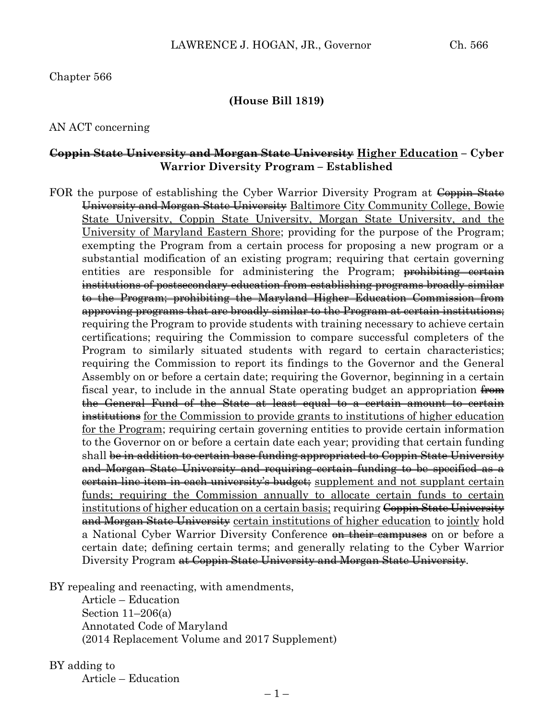### **(House Bill 1819)**

#### AN ACT concerning

#### **Coppin State University and Morgan State University Higher Education – Cyber Warrior Diversity Program – Established**

FOR the purpose of establishing the Cyber Warrior Diversity Program at Coppin State University and Morgan State University Baltimore City Community College, Bowie State University, Coppin State University, Morgan State University, and the University of Maryland Eastern Shore; providing for the purpose of the Program; exempting the Program from a certain process for proposing a new program or a substantial modification of an existing program; requiring that certain governing entities are responsible for administering the Program; prohibiting certain institutions of postsecondary education from establishing programs broadly similar to the Program; prohibiting the Maryland Higher Education Commission from approving programs that are broadly similar to the Program at certain institutions; requiring the Program to provide students with training necessary to achieve certain certifications; requiring the Commission to compare successful completers of the Program to similarly situated students with regard to certain characteristics; requiring the Commission to report its findings to the Governor and the General Assembly on or before a certain date; requiring the Governor, beginning in a certain fiscal year, to include in the annual State operating budget an appropriation from the General Fund of the State at least equal to a certain amount to certain institutions for the Commission to provide grants to institutions of higher education for the Program; requiring certain governing entities to provide certain information to the Governor on or before a certain date each year; providing that certain funding shall be in addition to certain base funding appropriated to Coppin State University and Morgan State University and requiring certain funding to be specified as a eertain line item in each university's budget; supplement and not supplant certain funds; requiring the Commission annually to allocate certain funds to certain institutions of higher education on a certain basis; requiring Coppin State University and Morgan State University certain institutions of higher education to jointly hold a National Cyber Warrior Diversity Conference on their campuses on or before a certain date; defining certain terms; and generally relating to the Cyber Warrior Diversity Program at Coppin State University and Morgan State University.

BY repealing and reenacting, with amendments,

Article – Education Section 11–206(a) Annotated Code of Maryland (2014 Replacement Volume and 2017 Supplement)

BY adding to Article – Education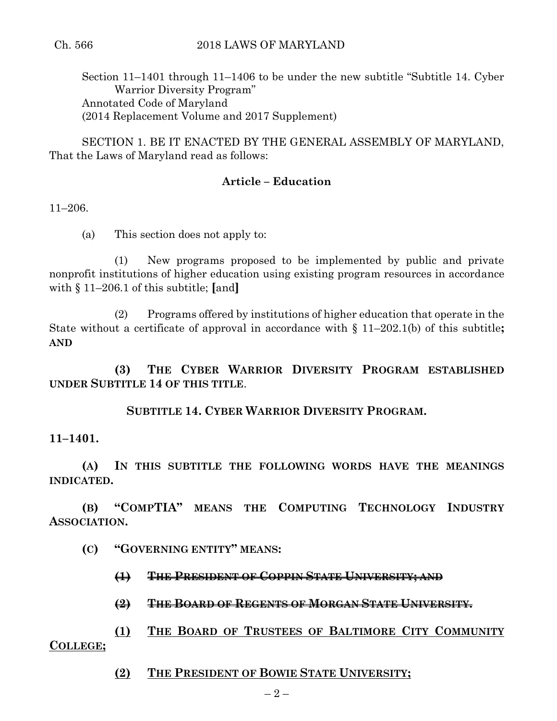Section 11–1401 through 11–1406 to be under the new subtitle "Subtitle 14. Cyber Warrior Diversity Program" Annotated Code of Maryland (2014 Replacement Volume and 2017 Supplement)

SECTION 1. BE IT ENACTED BY THE GENERAL ASSEMBLY OF MARYLAND, That the Laws of Maryland read as follows:

## **Article – Education**

11–206.

(a) This section does not apply to:

(1) New programs proposed to be implemented by public and private nonprofit institutions of higher education using existing program resources in accordance with § 11–206.1 of this subtitle; **[**and**]**

(2) Programs offered by institutions of higher education that operate in the State without a certificate of approval in accordance with § 11–202.1(b) of this subtitle**; AND**

**(3) THE CYBER WARRIOR DIVERSITY PROGRAM ESTABLISHED UNDER SUBTITLE 14 OF THIS TITLE**.

**SUBTITLE 14. CYBER WARRIOR DIVERSITY PROGRAM.**

**11–1401.**

**(A) IN THIS SUBTITLE THE FOLLOWING WORDS HAVE THE MEANINGS INDICATED.**

**(B) "COMPTIA" MEANS THE COMPUTING TECHNOLOGY INDUSTRY ASSOCIATION.**

**(C) "GOVERNING ENTITY" MEANS:**

**(1) THE PRESIDENT OF COPPIN STATE UNIVERSITY; AND**

**(2) THE BOARD OF REGENTS OF MORGAN STATE UNIVERSITY.**

**(1) THE BOARD OF TRUSTEES OF BALTIMORE CITY COMMUNITY COLLEGE;**

**(2) THE PRESIDENT OF BOWIE STATE UNIVERSITY;**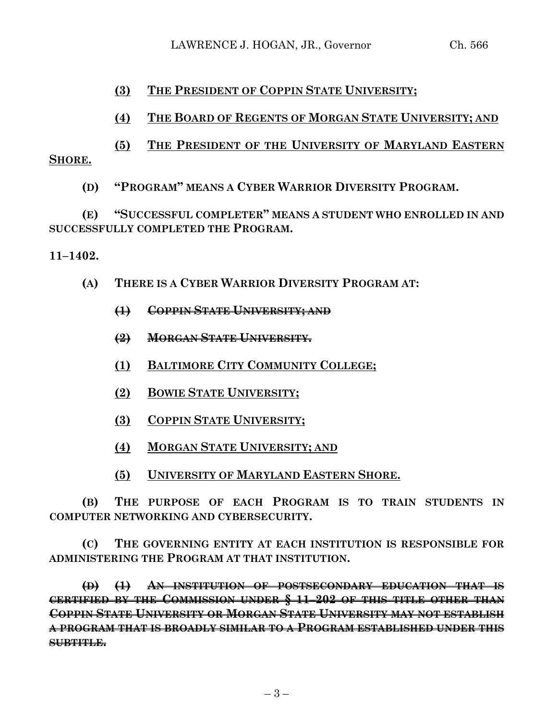LAWRENCE J. HOGAN, JR., Governor Ch. 566

## **(3) THE PRESIDENT OF COPPIN STATE UNIVERSITY;**

# **(4) THE BOARD OF REGENTS OF MORGAN STATE UNIVERSITY; AND**

**(5) THE PRESIDENT OF THE UNIVERSITY OF MARYLAND EASTERN SHORE.**

**(D) "PROGRAM" MEANS A CYBER WARRIOR DIVERSITY PROGRAM.**

**(E) "SUCCESSFUL COMPLETER" MEANS A STUDENT WHO ENROLLED IN AND SUCCESSFULLY COMPLETED THE PROGRAM.**

### **11–1402.**

- **(A) THERE IS A CYBER WARRIOR DIVERSITY PROGRAM AT:**
	- **(1) COPPIN STATE UNIVERSITY; AND**
	- **(2) MORGAN STATE UNIVERSITY.**
	- **(1) BALTIMORE CITY COMMUNITY COLLEGE;**
	- **(2) BOWIE STATE UNIVERSITY;**
	- **(3) COPPIN STATE UNIVERSITY;**
	- **(4) MORGAN STATE UNIVERSITY; AND**
	- **(5) UNIVERSITY OF MARYLAND EASTERN SHORE.**

**(B) THE PURPOSE OF EACH PROGRAM IS TO TRAIN STUDENTS IN COMPUTER NETWORKING AND CYBERSECURITY.**

**(C) THE GOVERNING ENTITY AT EACH INSTITUTION IS RESPONSIBLE FOR ADMINISTERING THE PROGRAM AT THAT INSTITUTION.**

**(D) (1) AN INSTITUTION OF POSTSECONDARY EDUCATION THAT IS CERTIFIED BY THE COMMISSION UNDER § 11–202 OF THIS TITLE OTHER THAN COPPIN STATE UNIVERSITY OR MORGAN STATE UNIVERSITY MAY NOT ESTABLISH A PROGRAM THAT IS BROADLY SIMILAR TO A PROGRAM ESTABLISHED UNDER THIS SUBTITLE.**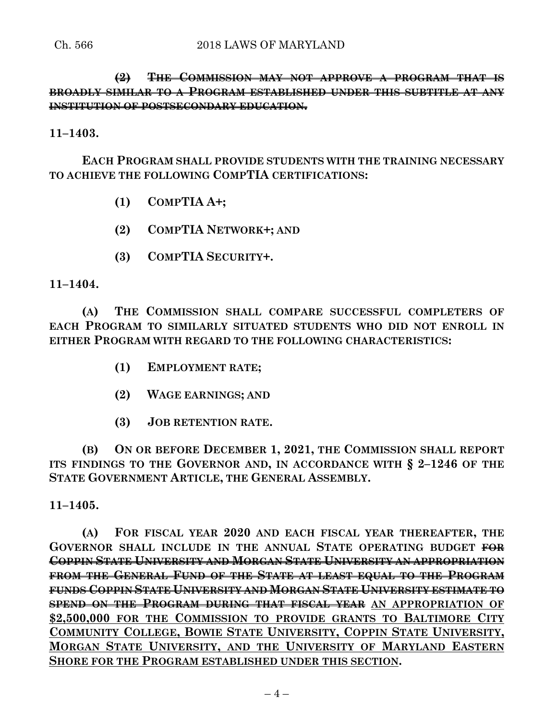**(2) THE COMMISSION MAY NOT APPROVE A PROGRAM THAT IS BROADLY SIMILAR TO A PROGRAM ESTABLISHED UNDER THIS SUBTITLE AT ANY INSTITUTION OF POSTSECONDARY EDUCATION.**

**11–1403.**

**EACH PROGRAM SHALL PROVIDE STUDENTS WITH THE TRAINING NECESSARY TO ACHIEVE THE FOLLOWING COMPTIA CERTIFICATIONS:**

- **(1) COMPTIA A+;**
- **(2) COMPTIA NETWORK+; AND**
- **(3) COMPTIA SECURITY+.**

**11–1404.**

**(A) THE COMMISSION SHALL COMPARE SUCCESSFUL COMPLETERS OF EACH PROGRAM TO SIMILARLY SITUATED STUDENTS WHO DID NOT ENROLL IN EITHER PROGRAM WITH REGARD TO THE FOLLOWING CHARACTERISTICS:**

- **(1) EMPLOYMENT RATE;**
- **(2) WAGE EARNINGS; AND**
- **(3) JOB RETENTION RATE.**

**(B) ON OR BEFORE DECEMBER 1, 2021, THE COMMISSION SHALL REPORT ITS FINDINGS TO THE GOVERNOR AND, IN ACCORDANCE WITH § 2–1246 OF THE STATE GOVERNMENT ARTICLE, THE GENERAL ASSEMBLY.**

**11–1405.**

**(A) FOR FISCAL YEAR 2020 AND EACH FISCAL YEAR THEREAFTER, THE GOVERNOR SHALL INCLUDE IN THE ANNUAL STATE OPERATING BUDGET FOR COPPIN STATE UNIVERSITY AND MORGAN STATE UNIVERSITY AN APPROPRIATION FROM THE GENERAL FUND OF THE STATE AT LEAST EQUAL TO THE PROGRAM FUNDS COPPIN STATE UNIVERSITY AND MORGAN STATE UNIVERSITY ESTIMATE TO SPEND ON THE PROGRAM DURING THAT FISCAL YEAR AN APPROPRIATION OF \$2,500,000 FOR THE COMMISSION TO PROVIDE GRANTS TO BALTIMORE CITY COMMUNITY COLLEGE, BOWIE STATE UNIVERSITY, COPPIN STATE UNIVERSITY, MORGAN STATE UNIVERSITY, AND THE UNIVERSITY OF MARYLAND EASTERN SHORE FOR THE PROGRAM ESTABLISHED UNDER THIS SECTION.**